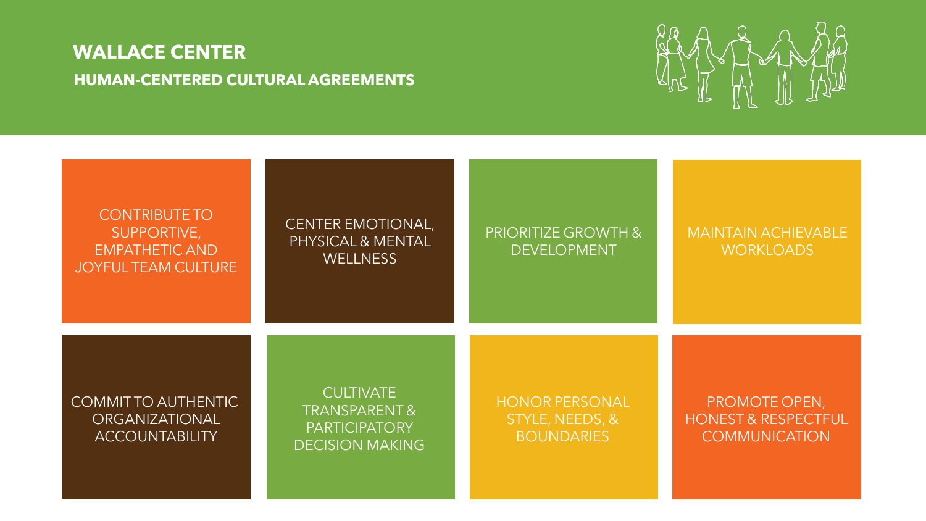

| <b>CONTRIBUTE TO</b><br>SUPPORTIVE,<br><b>EMPATHETIC AND</b><br><b>JOYFUL TEAM CULTURE</b> | <b>CENTER EMOTIONAL,</b><br>PHYSICAL & MENTAL<br><b>WELLNESS</b>                              | <b>PRIORITIZE GROWTH &amp;</b><br><b>DEVELOPMENT</b>          | <b>MAINTAIN ACHIEVABLE</b><br><b>WORKLOADS</b>                          |
|--------------------------------------------------------------------------------------------|-----------------------------------------------------------------------------------------------|---------------------------------------------------------------|-------------------------------------------------------------------------|
| <b>COMMITTO AUTHENTIC</b><br>ORGANIZATIONAL<br><b>ACCOUNTABILITY</b>                       | <b>CULTIVATE</b><br><b>TRANSPARENT&amp;</b><br><b>PARTICIPATORY</b><br><b>DECISION MAKING</b> | <b>HONOR PERSONAL</b><br>STYLE, NEEDS, &<br><b>BOUNDARIES</b> | PROMOTE OPEN,<br><b>HONEST &amp; RESPECTFUL</b><br><b>COMMUNICATION</b> |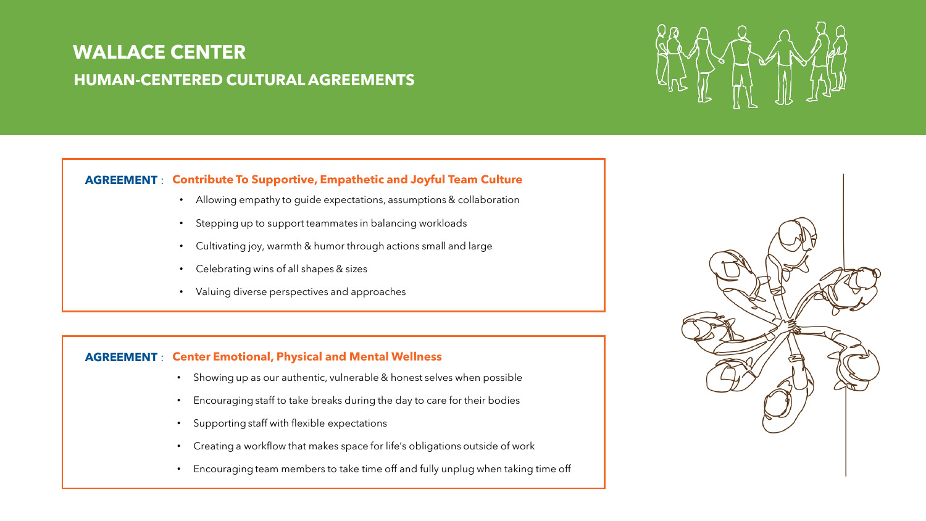

#### **AGREEMENT** : **Contribute To Supportive, Empathetic and Joyful Team Culture**

- Allowing empathy to guide expectations, assumptions & collaboration
- Stepping up to support teammates in balancing workloads
- Cultivating joy, warmth & humor through actions small and large
- Celebrating wins of all shapes & sizes
- Valuing diverse perspectives and approaches

### **AGREEMENT** : **Center Emotional, Physical and Mental Wellness**

- Showing up as our authentic, vulnerable & honest selves when possible
- Encouraging staff to take breaks during the day to care for their bodies
- Supporting staff with flexible expectations
- Creating a workflow that makes space for life's obligations outside of work
- Encouraging team members to take time off and fully unplug when taking time off

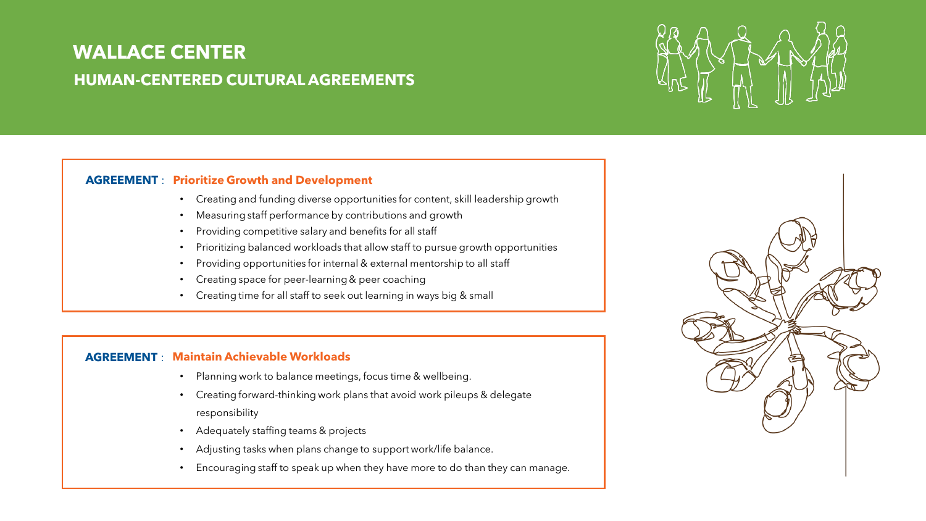

#### **AGREEMENT** : **Prioritize Growth and Development**

- Creating and funding diverse opportunities for content, skill leadership growth
- Measuring staff performance by contributions and growth
- Providing competitive salary and benefits for all staff
- Prioritizing balanced workloads that allow staff to pursue growth opportunities
- Providing opportunities for internal & external mentorship to all staff
- Creating space for peer-learning & peer coaching
- Creating time for all staff to seek out learning in ways big & small

### **AGREEMENT** : **Maintain Achievable Workloads**

- Planning work to balance meetings, focus time & wellbeing.
- Creating forward-thinking work plans that avoid work pileups & delegate responsibility
- Adequately staffing teams & projects
- Adjusting tasks when plans change to support work/life balance.
- Encouraging staff to speak up when they have more to do than they can manage.

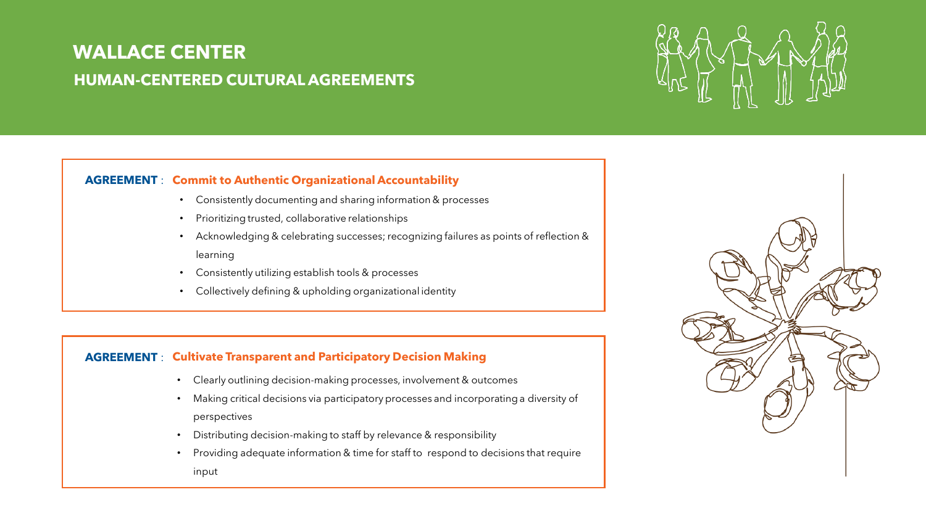#### **AGREEMENT** : **Commit to Authentic Organizational Accountability**

- Consistently documenting and sharing information & processes
- Prioritizing trusted, collaborative relationships
- Acknowledging & celebrating successes; recognizing failures as points of reflection & learning
- Consistently utilizing establish tools & processes
- Collectively defining & upholding organizational identity

#### **AGREEMENT** : **Cultivate Transparent and Participatory Decision Making**

- Clearly outlining decision-making processes, involvement & outcomes
- Making critical decisions via participatory processes and incorporating a diversity of perspectives
- Distributing decision-making to staff by relevance & responsibility
- Providing adequate information & time for staff to respond to decisions that require input